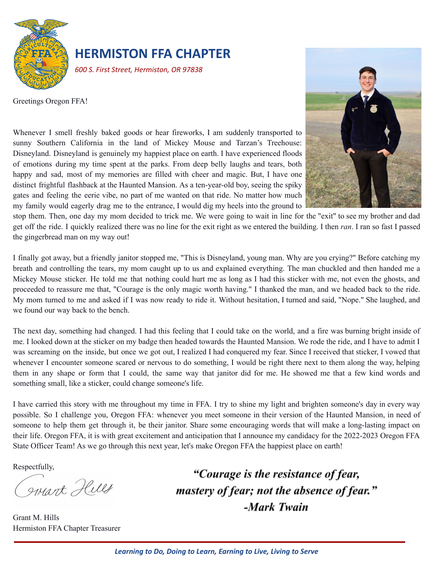

## **HERMISTON FFA CHAPTER**

Whenever I smell freshly baked goods or hear fireworks, I am suddenly transported to sunny Southern California in the land of Mickey Mouse and Tarzan's Treehouse: Disneyland. Disneyland is genuinely my happiest place on earth. I have experienced floods of emotions during my time spent at the parks. From deep belly laughs and tears, both happy and sad, most of my memories are filled with cheer and magic. But, I have one distinct frightful flashback at the Haunted Mansion. As a ten-year-old boy, seeing the spiky gates and feeling the eerie vibe, no part of me wanted on that ride. No matter how much

*600 S. First Street, Hermiston, OR 97838*

Greetings Oregon FFA!

my family would eagerly drag me to the entrance, I would dig my heels into the ground to

stop them. Then, one day my mom decided to trick me. We were going to wait in line for the "exit" to see my brother and dad get off the ride. I quickly realized there was no line for the exit right as we entered the building. I then *ran*. I ran so fast I passed the gingerbread man on my way out!

I finally got away, but a friendly janitor stopped me, "This is Disneyland, young man. Why are you crying?" Before catching my breath and controlling the tears, my mom caught up to us and explained everything. The man chuckled and then handed me a Mickey Mouse sticker. He told me that nothing could hurt me as long as I had this sticker with me, not even the ghosts, and proceeded to reassure me that, "Courage is the only magic worth having." I thanked the man, and we headed back to the ride. My mom turned to me and asked if I was now ready to ride it. Without hesitation, I turned and said, "Nope." She laughed, and we found our way back to the bench.

The next day, something had changed. I had this feeling that I could take on the world, and a fire was burning bright inside of me. I looked down at the sticker on my badge then headed towards the Haunted Mansion. We rode the ride, and I have to admit I was screaming on the inside, but once we got out, I realized I had conquered my fear. Since I received that sticker, I vowed that whenever I encounter someone scared or nervous to do something, I would be right there next to them along the way, helping them in any shape or form that I could, the same way that janitor did for me. He showed me that a few kind words and something small, like a sticker, could change someone's life.

I have carried this story with me throughout my time in FFA. I try to shine my light and brighten someone's day in every way possible. So I challenge you, Oregon FFA: whenever you meet someone in their version of the Haunted Mansion, in need of someone to help them get through it, be their janitor. Share some encouraging words that will make a long-lasting impact on their life. Oregon FFA, it is with great excitement and anticipation that I announce my candidacy for the 2022-2023 Oregon FFA State Officer Team! As we go through this next year, let's make Oregon FFA the happiest place on earth!

Respectfully,

Juant Hills

Grant M. Hills Hermiston FFA Chapter Treasurer

"Courage is the resistance of fear, mastery of fear; not the absence of fear." -Mark Twain